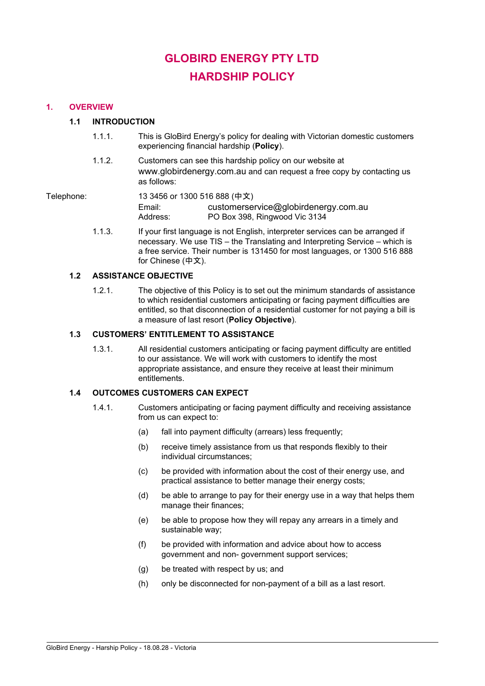# **GLOBIRD ENERGY PTY LTD HARDSHIP POLICY**

### **1. OVERVIEW**

### **1.1 INTRODUCTION**

- 1.1.1. This is GloBird Energy's policy for dealing with Victorian domestic customers experiencing financial hardship (**Policy**).
- 1.1.2. Customers can see this hardship policy on our website at [www.globirdenergy.com.au](http://www.globirdenergy.com.au/) and can request a free copy by contacting us as follows:

Telephone: 13 3456 or 1300 516 888 (中文) Email: [customerservice@globirdenergy.com.au](mailto:customerservice@globirdenergy.com.au) Address: PO Box 398, Ringwood Vic 3134

> 1.1.3. If your first language is not English, interpreter services can be arranged if necessary. We use TIS – the Translating and Interpreting Service – which is a free service. Their number is 131450 for most languages, or 1300 516 888 for Chinese (中文).

### **1.2 ASSISTANCE OBJECTIVE**

1.2.1. The objective of this Policy is to set out the minimum standards of assistance to which residential customers anticipating or facing payment difficulties are entitled, so that disconnection of a residential customer for not paying a bill is a measure of last resort (**Policy Objective**).

### **1.3 CUSTOMERS' ENTITLEMENT TO ASSISTANCE**

1.3.1. All residential customers anticipating or facing payment difficulty are entitled to our assistance. We will work with customers to identify the most appropriate assistance, and ensure they receive at least their minimum entitlements.

### **1.4 OUTCOMES CUSTOMERS CAN EXPECT**

- 1.4.1. Customers anticipating or facing payment difficulty and receiving assistance from us can expect to:
	- (a) fall into payment difficulty (arrears) less frequently;
	- (b) receive timely assistance from us that responds flexibly to their individual circumstances;
	- (c) be provided with information about the cost of their energy use, and practical assistance to better manage their energy costs;
	- (d) be able to arrange to pay for their energy use in a way that helps them manage their finances;
	- (e) be able to propose how they will repay any arrears in a timely and sustainable way;
	- (f) be provided with information and advice about how to access government and non- government support services;
	- (g) be treated with respect by us; and
	- (h) only be disconnected for non-payment of a bill as a last resort.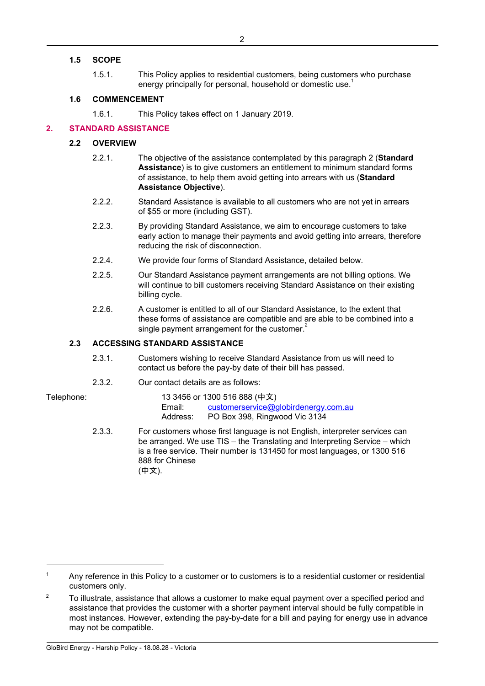### **1.5 SCOPE**

1.5.1. This Policy applies to residential customers, being customers who purchase energy principally for personal, household or domestic use.<sup>1</sup>

### **1.6 COMMENCEMENT**

1.6.1. This Policy takes effect on 1 January 2019.

### **2. STANDARD ASSISTANCE**

### **2.2 OVERVIEW**

- 2.2.1. The objective of the assistance contemplated by this paragraph 2 (**Standard Assistance**) is to give customers an entitlement to minimum standard forms of assistance, to help them avoid getting into arrears with us (**Standard Assistance Objective**).
- 2.2.2. Standard Assistance is available to all customers who are not yet in arrears of \$55 or more (including GST).
- 2.2.3. By providing Standard Assistance, we aim to encourage customers to take early action to manage their payments and avoid getting into arrears, therefore reducing the risk of disconnection.
- 2.2.4. We provide four forms of Standard Assistance, detailed below.
- 2.2.5. Our Standard Assistance payment arrangements are not billing options. We will continue to bill customers receiving Standard Assistance on their existing billing cycle.
- 2.2.6. A customer is entitled to all of our Standard Assistance, to the extent that these forms of assistance are compatible and are able to be combined into a single payment arrangement for the customer.<sup>2</sup>

### **2.3 ACCESSING STANDARD ASSISTANCE**

- 2.3.1. Customers wishing to receive Standard Assistance from us will need to contact us before the pay-by date of their bill has passed.
- 2.3.2. Our contact details are as follows:

Telephone: 13 3456 or 1300 516 888 (中文) Email: [customerservice@globirdenergy.com.au](mailto:customerservice@globirdenergy.com.au) Address: PO Box 398, Ringwood Vic 3134

> 2.3.3. For customers whose first language is not English, interpreter services can be arranged. We use TIS – the Translating and Interpreting Service – which is a free service. Their number is 131450 for most languages, or 1300 516 888 for Chinese (中文).

<sup>&</sup>lt;sup>1</sup> Any reference in this Policy to a customer or to customers is to a residential customer or residential customers only.

<sup>&</sup>lt;sup>2</sup> To illustrate, assistance that allows a customer to make equal payment over a specified period and assistance that provides the customer with a shorter payment interval should be fully compatible in most instances. However, extending the pay-by-date for a bill and paying for energy use in advance may not be compatible.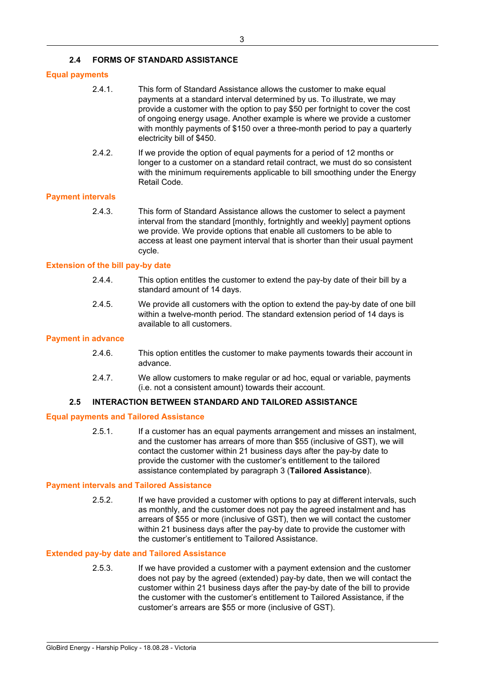### **2.4 FORMS OF STANDARD ASSISTANCE**

### **Equal payments**

- 2.4.1. This form of Standard Assistance allows the customer to make equal payments at a standard interval determined by us. To illustrate, we may provide a customer with the option to pay \$50 per fortnight to cover the cost of ongoing energy usage. Another example is where we provide a customer with monthly payments of \$150 over a three-month period to pay a quarterly electricity bill of \$450.
- 2.4.2. If we provide the option of equal payments for a period of 12 months or longer to a customer on a standard retail contract, we must do so consistent with the minimum requirements applicable to bill smoothing under the Energy Retail Code.

#### **Payment intervals**

2.4.3. This form of Standard Assistance allows the customer to select a payment interval from the standard [monthly, fortnightly and weekly] payment options we provide. We provide options that enable all customers to be able to access at least one payment interval that is shorter than their usual payment cycle.

### **Extension of the bill pay-by date**

- 2.4.4. This option entitles the customer to extend the pay-by date of their bill by a standard amount of 14 days.
- 2.4.5. We provide all customers with the option to extend the pay-by date of one bill within a twelve-month period. The standard extension period of 14 days is available to all customers.

#### **Payment in advance**

- 2.4.6. This option entitles the customer to make payments towards their account in advance.
- 2.4.7. We allow customers to make regular or ad hoc, equal or variable, payments (i.e. not a consistent amount) towards their account.

### **2.5 INTERACTION BETWEEN STANDARD AND TAILORED ASSISTANCE**

#### **Equal payments and Tailored Assistance**

2.5.1. If a customer has an equal payments arrangement and misses an instalment, and the customer has arrears of more than \$55 (inclusive of GST), we will contact the customer within 21 business days after the pay-by date to provide the customer with the customer's entitlement to the tailored assistance contemplated by paragraph 3 (**Tailored Assistance**).

### **Payment intervals and Tailored Assistance**

2.5.2. If we have provided a customer with options to pay at different intervals, such as monthly, and the customer does not pay the agreed instalment and has arrears of \$55 or more (inclusive of GST), then we will contact the customer within 21 business days after the pay-by date to provide the customer with the customer's entitlement to Tailored Assistance.

#### **Extended pay-by date and Tailored Assistance**

2.5.3. If we have provided a customer with a payment extension and the customer does not pay by the agreed (extended) pay-by date, then we will contact the customer within 21 business days after the pay-by date of the bill to provide the customer with the customer's entitlement to Tailored Assistance, if the customer's arrears are \$55 or more (inclusive of GST).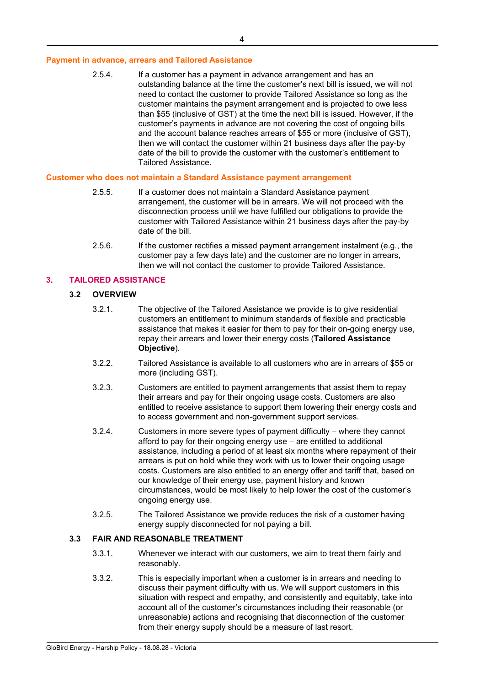### **Payment in advance, arrears and Tailored Assistance**

2.5.4. If a customer has a payment in advance arrangement and has an outstanding balance at the time the customer's next bill is issued, we will not need to contact the customer to provide Tailored Assistance so long as the customer maintains the payment arrangement and is projected to owe less than \$55 (inclusive of GST) at the time the next bill is issued. However, if the customer's payments in advance are not covering the cost of ongoing bills and the account balance reaches arrears of \$55 or more (inclusive of GST), then we will contact the customer within 21 business days after the pay-by date of the bill to provide the customer with the customer's entitlement to Tailored Assistance.

#### **Customer who does not maintain a Standard Assistance payment arrangement**

- 2.5.5. If a customer does not maintain a Standard Assistance payment arrangement, the customer will be in arrears. We will not proceed with the disconnection process until we have fulfilled our obligations to provide the customer with Tailored Assistance within 21 business days after the pay-by date of the bill.
- 2.5.6. If the customer rectifies a missed payment arrangement instalment (e.g., the customer pay a few days late) and the customer are no longer in arrears, then we will not contact the customer to provide Tailored Assistance.

### **3. TAILORED ASSISTANCE**

#### **3.2 OVERVIEW**

- 3.2.1. The objective of the Tailored Assistance we provide is to give residential customers an entitlement to minimum standards of flexible and practicable assistance that makes it easier for them to pay for their on-going energy use, repay their arrears and lower their energy costs (**Tailored Assistance Objective**).
- 3.2.2. Tailored Assistance is available to all customers who are in arrears of \$55 or more (including GST).
- 3.2.3. Customers are entitled to payment arrangements that assist them to repay their arrears and pay for their ongoing usage costs. Customers are also entitled to receive assistance to support them lowering their energy costs and to access government and non-government support services.
- 3.2.4. Customers in more severe types of payment difficulty where they cannot afford to pay for their ongoing energy use – are entitled to additional assistance, including a period of at least six months where repayment of their arrears is put on hold while they work with us to lower their ongoing usage costs. Customers are also entitled to an energy offer and tariff that, based on our knowledge of their energy use, payment history and known circumstances, would be most likely to help lower the cost of the customer's ongoing energy use.
- 3.2.5. The Tailored Assistance we provide reduces the risk of a customer having energy supply disconnected for not paying a bill.

### **3.3 FAIR AND REASONABLE TREATMENT**

- 3.3.1. Whenever we interact with our customers, we aim to treat them fairly and reasonably.
- 3.3.2. This is especially important when a customer is in arrears and needing to discuss their payment difficulty with us. We will support customers in this situation with respect and empathy, and consistently and equitably, take into account all of the customer's circumstances including their reasonable (or unreasonable) actions and recognising that disconnection of the customer from their energy supply should be a measure of last resort.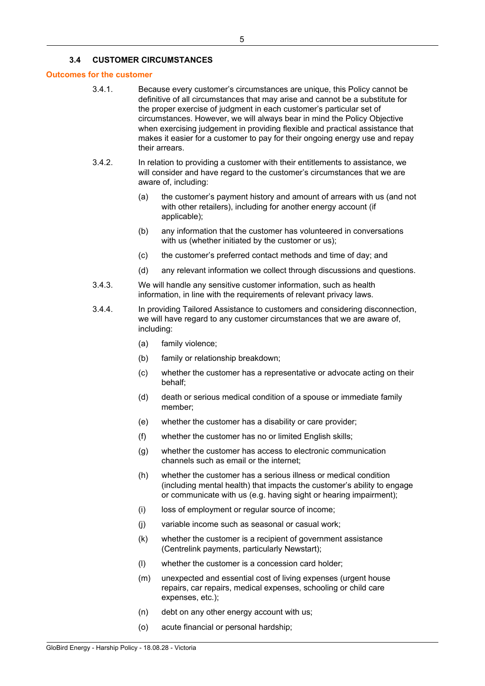### **3.4 CUSTOMER CIRCUMSTANCES**

#### **Outcomes for the customer**

- 3.4.1. Because every customer's circumstances are unique, this Policy cannot be definitive of all circumstances that may arise and cannot be a substitute for the proper exercise of judgment in each customer's particular set of circumstances. However, we will always bear in mind the Policy Objective when exercising judgement in providing flexible and practical assistance that makes it easier for a customer to pay for their ongoing energy use and repay their arrears.
- 3.4.2. In relation to providing a customer with their entitlements to assistance, we will consider and have regard to the customer's circumstances that we are aware of, including:
	- (a) the customer's payment history and amount of arrears with us (and not with other retailers), including for another energy account (if applicable);
	- (b) any information that the customer has volunteered in conversations with us (whether initiated by the customer or us);
	- (c) the customer's preferred contact methods and time of day; and
	- (d) any relevant information we collect through discussions and questions.
- 3.4.3. We will handle any sensitive customer information, such as health information, in line with the requirements of relevant privacy laws.
- 3.4.4. In providing Tailored Assistance to customers and considering disconnection, we will have regard to any customer circumstances that we are aware of, including:
	- (a) family violence;
	- (b) family or relationship breakdown;
	- (c) whether the customer has a representative or advocate acting on their behalf;
	- (d) death or serious medical condition of a spouse or immediate family member;
	- (e) whether the customer has a disability or care provider;
	- (f) whether the customer has no or limited English skills;
	- (g) whether the customer has access to electronic communication channels such as email or the internet;
	- (h) whether the customer has a serious illness or medical condition (including mental health) that impacts the customer's ability to engage or communicate with us (e.g. having sight or hearing impairment);
	- (i) loss of employment or regular source of income;
	- (j) variable income such as seasonal or casual work;
	- (k) whether the customer is a recipient of government assistance (Centrelink payments, particularly Newstart);
	- (l) whether the customer is a concession card holder;
	- (m) unexpected and essential cost of living expenses (urgent house repairs, car repairs, medical expenses, schooling or child care expenses, etc.);
	- (n) debt on any other energy account with us;
	- (o) acute financial or personal hardship;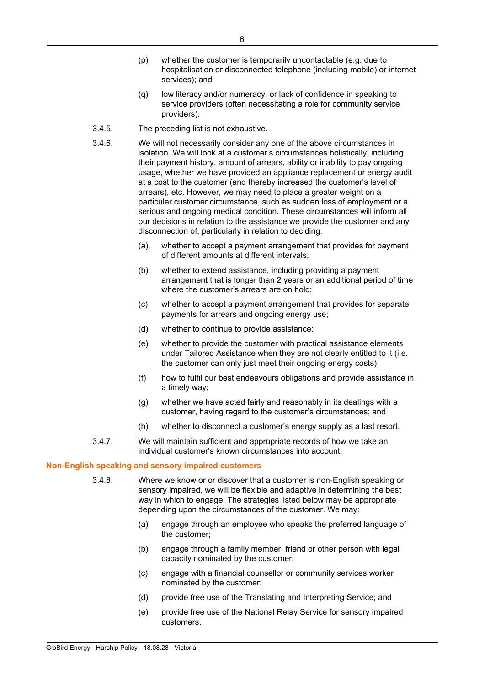- (p) whether the customer is temporarily uncontactable (e.g. due to hospitalisation or disconnected telephone (including mobile) or internet services); and
- (q) low literacy and/or numeracy, or lack of confidence in speaking to service providers (often necessitating a role for community service providers).
- 3.4.5. The preceding list is not exhaustive.
- 3.4.6. We will not necessarily consider any one of the above circumstances in isolation. We will look at a customer's circumstances holistically, including their payment history, amount of arrears, ability or inability to pay ongoing usage, whether we have provided an appliance replacement or energy audit at a cost to the customer (and thereby increased the customer's level of arrears), etc. However, we may need to place a greater weight on a particular customer circumstance, such as sudden loss of employment or a serious and ongoing medical condition. These circumstances will inform all our decisions in relation to the assistance we provide the customer and any disconnection of, particularly in relation to deciding:
	- (a) whether to accept a payment arrangement that provides for payment of different amounts at different intervals;
	- (b) whether to extend assistance, including providing a payment arrangement that is longer than 2 years or an additional period of time where the customer's arrears are on hold;
	- (c) whether to accept a payment arrangement that provides for separate payments for arrears and ongoing energy use;
	- (d) whether to continue to provide assistance;
	- (e) whether to provide the customer with practical assistance elements under Tailored Assistance when they are not clearly entitled to it (i.e. the customer can only just meet their ongoing energy costs);
	- (f) how to fulfil our best endeavours obligations and provide assistance in a timely way;
	- (g) whether we have acted fairly and reasonably in its dealings with a customer, having regard to the customer's circumstances; and
	- (h) whether to disconnect a customer's energy supply as a last resort.
- 3.4.7. We will maintain sufficient and appropriate records of how we take an individual customer's known circumstances into account.

#### **Non-English speaking and sensory impaired customers**

- 3.4.8. Where we know or or discover that a customer is non-English speaking or sensory impaired, we will be flexible and adaptive in determining the best way in which to engage. The strategies listed below may be appropriate depending upon the circumstances of the customer. We may:
	- (a) engage through an employee who speaks the preferred language of the customer;
	- (b) engage through a family member, friend or other person with legal capacity nominated by the customer;
	- (c) engage with a financial counsellor or community services worker nominated by the customer;
	- (d) provide free use of the Translating and Interpreting Service; and
	- (e) provide free use of the National Relay Service for sensory impaired customers.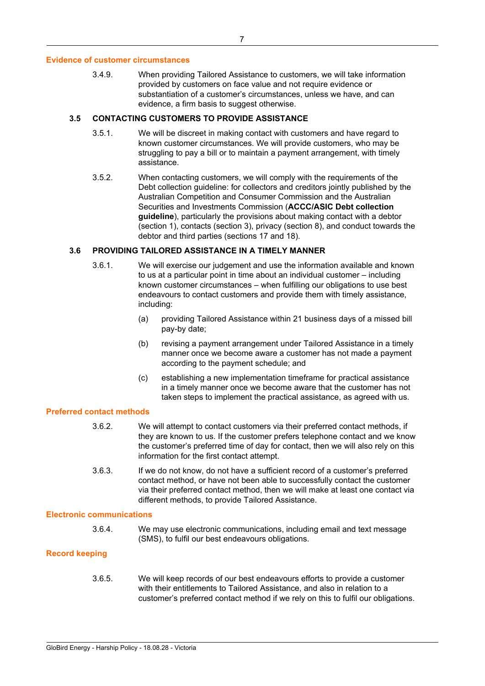#### **Evidence of customer circumstances**

3.4.9. When providing Tailored Assistance to customers, we will take information provided by customers on face value and not require evidence or substantiation of a customer's circumstances, unless we have, and can evidence, a firm basis to suggest otherwise.

#### **3.5 CONTACTING CUSTOMERS TO PROVIDE ASSISTANCE**

- 3.5.1. We will be discreet in making contact with customers and have regard to known customer circumstances. We will provide customers, who may be struggling to pay a bill or to maintain a payment arrangement, with timely assistance.
- 3.5.2. When contacting customers, we will comply with the requirements of the Debt collection guideline: for collectors and creditors jointly published by the Australian Competition and Consumer Commission and the Australian Securities and Investments Commission (**ACCC/ASIC Debt collection guideline**), particularly the provisions about making contact with a debtor (section 1), contacts (section 3), privacy (section 8), and conduct towards the debtor and third parties (sections 17 and 18).

#### **3.6 PROVIDING TAILORED ASSISTANCE IN A TIMELY MANNER**

- 3.6.1. We will exercise our judgement and use the information available and known to us at a particular point in time about an individual customer – including known customer circumstances – when fulfilling our obligations to use best endeavours to contact customers and provide them with timely assistance, including:
	- (a) providing Tailored Assistance within 21 business days of a missed bill pay-by date;
	- (b) revising a payment arrangement under Tailored Assistance in a timely manner once we become aware a customer has not made a payment according to the payment schedule; and
	- (c) establishing a new implementation timeframe for practical assistance in a timely manner once we become aware that the customer has not taken steps to implement the practical assistance, as agreed with us.

#### **Preferred contact methods**

- 3.6.2. We will attempt to contact customers via their preferred contact methods, if they are known to us. If the customer prefers telephone contact and we know the customer's preferred time of day for contact, then we will also rely on this information for the first contact attempt.
- 3.6.3. If we do not know, do not have a sufficient record of a customer's preferred contact method, or have not been able to successfully contact the customer via their preferred contact method, then we will make at least one contact via different methods, to provide Tailored Assistance.

#### **Electronic communications**

3.6.4. We may use electronic communications, including email and text message (SMS), to fulfil our best endeavours obligations.

#### **Record keeping**

3.6.5. We will keep records of our best endeavours efforts to provide a customer with their entitlements to Tailored Assistance, and also in relation to a customer's preferred contact method if we rely on this to fulfil our obligations.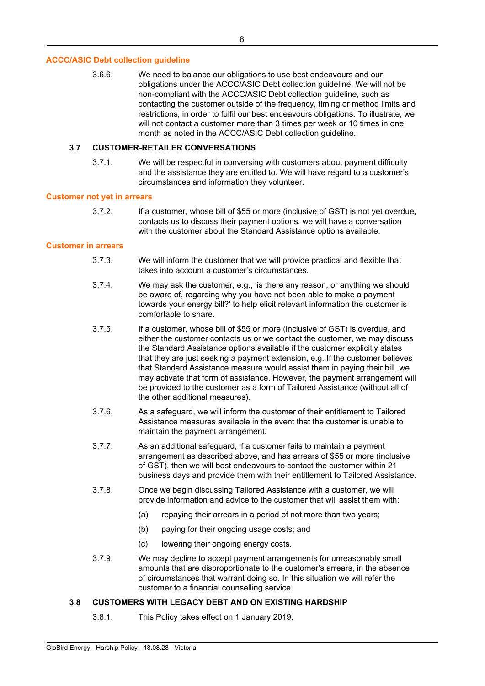### **ACCC/ASIC Debt collection guideline**

3.6.6. We need to balance our obligations to use best endeavours and our obligations under the ACCC/ASIC Debt collection guideline. We will not be non-compliant with the ACCC/ASIC Debt collection guideline, such as contacting the customer outside of the frequency, timing or method limits and restrictions, in order to fulfil our best endeavours obligations. To illustrate, we will not contact a customer more than 3 times per week or 10 times in one month as noted in the ACCC/ASIC Debt collection guideline.

### **3.7 CUSTOMER-RETAILER CONVERSATIONS**

3.7.1. We will be respectful in conversing with customers about payment difficulty and the assistance they are entitled to. We will have regard to a customer's circumstances and information they volunteer.

#### **Customer not yet in arrears**

3.7.2. If a customer, whose bill of \$55 or more (inclusive of GST) is not yet overdue, contacts us to discuss their payment options, we will have a conversation with the customer about the Standard Assistance options available.

#### **Customer in arrears**

- 3.7.3. We will inform the customer that we will provide practical and flexible that takes into account a customer's circumstances.
- 3.7.4. We may ask the customer, e.g., 'is there any reason, or anything we should be aware of, regarding why you have not been able to make a payment towards your energy bill?' to help elicit relevant information the customer is comfortable to share.
- 3.7.5. If a customer, whose bill of \$55 or more (inclusive of GST) is overdue, and either the customer contacts us or we contact the customer, we may discuss the Standard Assistance options available if the customer explicitly states that they are just seeking a payment extension, e.g. If the customer believes that Standard Assistance measure would assist them in paying their bill, we may activate that form of assistance. However, the payment arrangement will be provided to the customer as a form of Tailored Assistance (without all of the other additional measures).
- 3.7.6. As a safeguard, we will inform the customer of their entitlement to Tailored Assistance measures available in the event that the customer is unable to maintain the payment arrangement.
- 3.7.7. As an additional safeguard, if a customer fails to maintain a payment arrangement as described above, and has arrears of \$55 or more (inclusive of GST), then we will best endeavours to contact the customer within 21 business days and provide them with their entitlement to Tailored Assistance.
- 3.7.8. Once we begin discussing Tailored Assistance with a customer, we will provide information and advice to the customer that will assist them with:
	- (a) repaying their arrears in a period of not more than two years;
	- (b) paying for their ongoing usage costs; and
	- (c) lowering their ongoing energy costs.
- 3.7.9. We may decline to accept payment arrangements for unreasonably small amounts that are disproportionate to the customer's arrears, in the absence of circumstances that warrant doing so. In this situation we will refer the customer to a financial counselling service.

### **3.8 CUSTOMERS WITH LEGACY DEBT AND ON EXISTING HARDSHIP**

3.8.1. This Policy takes effect on 1 January 2019.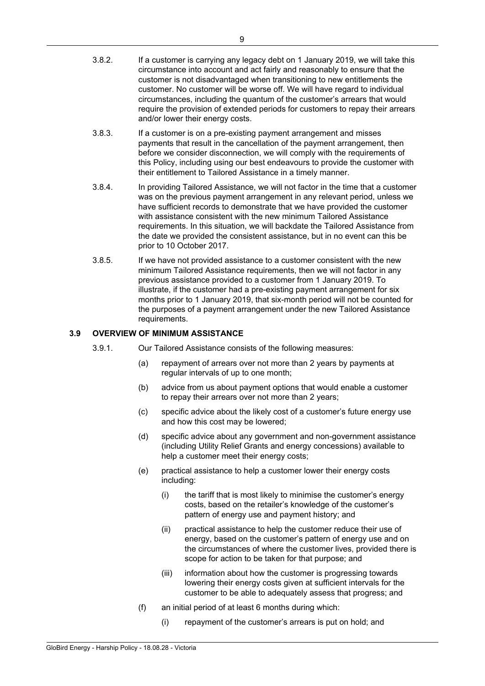- 3.8.2. If a customer is carrying any legacy debt on 1 January 2019, we will take this circumstance into account and act fairly and reasonably to ensure that the customer is not disadvantaged when transitioning to new entitlements the customer. No customer will be worse off. We will have regard to individual circumstances, including the quantum of the customer's arrears that would require the provision of extended periods for customers to repay their arrears and/or lower their energy costs.
- 3.8.3. If a customer is on a pre-existing payment arrangement and misses payments that result in the cancellation of the payment arrangement, then before we consider disconnection, we will comply with the requirements of this Policy, including using our best endeavours to provide the customer with their entitlement to Tailored Assistance in a timely manner.
- 3.8.4. In providing Tailored Assistance, we will not factor in the time that a customer was on the previous payment arrangement in any relevant period, unless we have sufficient records to demonstrate that we have provided the customer with assistance consistent with the new minimum Tailored Assistance requirements. In this situation, we will backdate the Tailored Assistance from the date we provided the consistent assistance, but in no event can this be prior to 10 October 2017.
- 3.8.5. If we have not provided assistance to a customer consistent with the new minimum Tailored Assistance requirements, then we will not factor in any previous assistance provided to a customer from 1 January 2019. To illustrate, if the customer had a pre-existing payment arrangement for six months prior to 1 January 2019, that six-month period will not be counted for the purposes of a payment arrangement under the new Tailored Assistance requirements.

### **3.9 OVERVIEW OF MINIMUM ASSISTANCE**

- 3.9.1. Our Tailored Assistance consists of the following measures:
	- (a) repayment of arrears over not more than 2 years by payments at regular intervals of up to one month;
	- (b) advice from us about payment options that would enable a customer to repay their arrears over not more than 2 years;
	- (c) specific advice about the likely cost of a customer's future energy use and how this cost may be lowered;
	- (d) specific advice about any government and non-government assistance (including Utility Relief Grants and energy concessions) available to help a customer meet their energy costs;
	- (e) practical assistance to help a customer lower their energy costs including:
		- (i) the tariff that is most likely to minimise the customer's energy costs, based on the retailer's knowledge of the customer's pattern of energy use and payment history; and
		- (ii) practical assistance to help the customer reduce their use of energy, based on the customer's pattern of energy use and on the circumstances of where the customer lives, provided there is scope for action to be taken for that purpose; and
		- (iii) information about how the customer is progressing towards lowering their energy costs given at sufficient intervals for the customer to be able to adequately assess that progress; and
	- (f) an initial period of at least 6 months during which:
		- (i) repayment of the customer's arrears is put on hold; and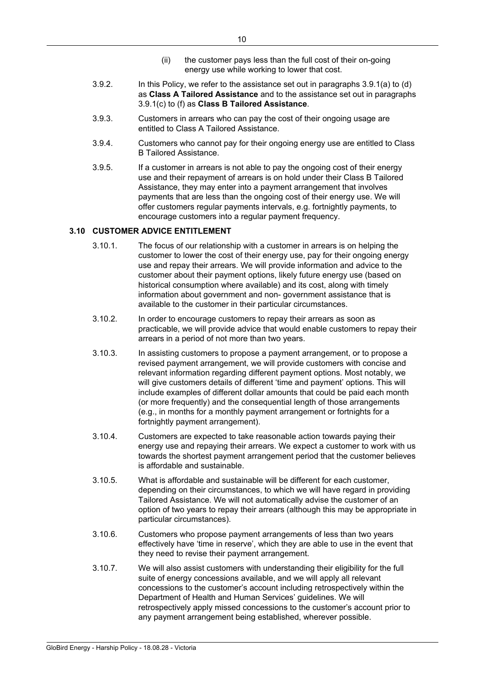- (ii) the customer pays less than the full cost of their on-going energy use while working to lower that cost.
- 3.9.2. In this Policy, we refer to the assistance set out in paragraphs 3.9.1(a) to (d) as **Class A Tailored Assistance** and to the assistance set out in paragraphs 3.9.1(c) to (f) as **Class B Tailored Assistance**.
- 3.9.3. Customers in arrears who can pay the cost of their ongoing usage are entitled to Class A Tailored Assistance.
- 3.9.4. Customers who cannot pay for their ongoing energy use are entitled to Class B Tailored Assistance.
- 3.9.5. If a customer in arrears is not able to pay the ongoing cost of their energy use and their repayment of arrears is on hold under their Class B Tailored Assistance, they may enter into a payment arrangement that involves payments that are less than the ongoing cost of their energy use. We will offer customers regular payments intervals, e.g. fortnightly payments, to encourage customers into a regular payment frequency.

#### **3.10 CUSTOMER ADVICE ENTITLEMENT**

- 3.10.1. The focus of our relationship with a customer in arrears is on helping the customer to lower the cost of their energy use, pay for their ongoing energy use and repay their arrears. We will provide information and advice to the customer about their payment options, likely future energy use (based on historical consumption where available) and its cost, along with timely information about government and non- government assistance that is available to the customer in their particular circumstances.
- 3.10.2. In order to encourage customers to repay their arrears as soon as practicable, we will provide advice that would enable customers to repay their arrears in a period of not more than two years.
- 3.10.3. In assisting customers to propose a payment arrangement, or to propose a revised payment arrangement, we will provide customers with concise and relevant information regarding different payment options. Most notably, we will give customers details of different 'time and payment' options. This will include examples of different dollar amounts that could be paid each month (or more frequently) and the consequential length of those arrangements (e.g., in months for a monthly payment arrangement or fortnights for a fortnightly payment arrangement).
- 3.10.4. Customers are expected to take reasonable action towards paying their energy use and repaying their arrears. We expect a customer to work with us towards the shortest payment arrangement period that the customer believes is affordable and sustainable.
- 3.10.5. What is affordable and sustainable will be different for each customer, depending on their circumstances, to which we will have regard in providing Tailored Assistance. We will not automatically advise the customer of an option of two years to repay their arrears (although this may be appropriate in particular circumstances).
- 3.10.6. Customers who propose payment arrangements of less than two years effectively have 'time in reserve', which they are able to use in the event that they need to revise their payment arrangement.
- 3.10.7. We will also assist customers with understanding their eligibility for the full suite of energy concessions available, and we will apply all relevant concessions to the customer's account including retrospectively within the Department of Health and Human Services' guidelines. We will retrospectively apply missed concessions to the customer's account prior to any payment arrangement being established, wherever possible.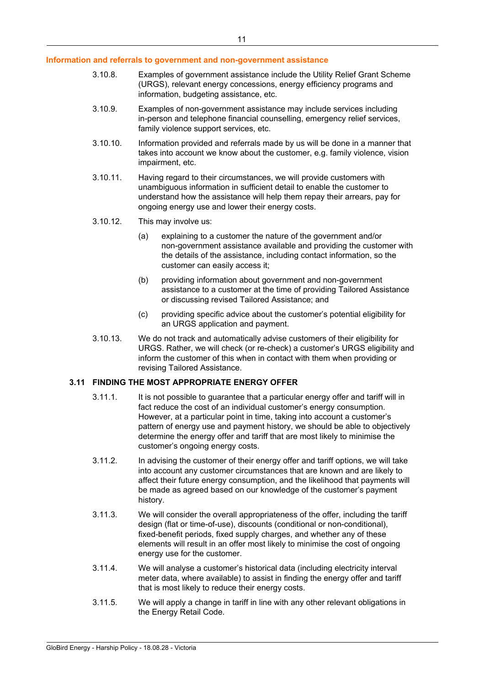#### **Information and referrals to government and non-government assistance**

- 3.10.8. Examples of government assistance include the Utility Relief Grant Scheme (URGS), relevant energy concessions, energy efficiency programs and information, budgeting assistance, etc.
- 3.10.9. Examples of non-government assistance may include services including in-person and telephone financial counselling, emergency relief services, family violence support services, etc.
- 3.10.10. Information provided and referrals made by us will be done in a manner that takes into account we know about the customer, e.g. family violence, vision impairment, etc.
- 3.10.11. Having regard to their circumstances, we will provide customers with unambiguous information in sufficient detail to enable the customer to understand how the assistance will help them repay their arrears, pay for ongoing energy use and lower their energy costs.
- 3.10.12. This may involve us:
	- (a) explaining to a customer the nature of the government and/or non-government assistance available and providing the customer with the details of the assistance, including contact information, so the customer can easily access it;
	- (b) providing information about government and non-government assistance to a customer at the time of providing Tailored Assistance or discussing revised Tailored Assistance; and
	- (c) providing specific advice about the customer's potential eligibility for an URGS application and payment.
- 3.10.13. We do not track and automatically advise customers of their eligibility for URGS. Rather, we will check (or re-check) a customer's URGS eligibility and inform the customer of this when in contact with them when providing or revising Tailored Assistance.

### **3.11 FINDING THE MOST APPROPRIATE ENERGY OFFER**

- 3.11.1. It is not possible to guarantee that a particular energy offer and tariff will in fact reduce the cost of an individual customer's energy consumption. However, at a particular point in time, taking into account a customer's pattern of energy use and payment history, we should be able to objectively determine the energy offer and tariff that are most likely to minimise the customer's ongoing energy costs.
- 3.11.2. In advising the customer of their energy offer and tariff options, we will take into account any customer circumstances that are known and are likely to affect their future energy consumption, and the likelihood that payments will be made as agreed based on our knowledge of the customer's payment history.
- 3.11.3. We will consider the overall appropriateness of the offer, including the tariff design (flat or time-of-use), discounts (conditional or non-conditional), fixed-benefit periods, fixed supply charges, and whether any of these elements will result in an offer most likely to minimise the cost of ongoing energy use for the customer.
- 3.11.4. We will analyse a customer's historical data (including electricity interval meter data, where available) to assist in finding the energy offer and tariff that is most likely to reduce their energy costs.
- 3.11.5. We will apply a change in tariff in line with any other relevant obligations in the Energy Retail Code.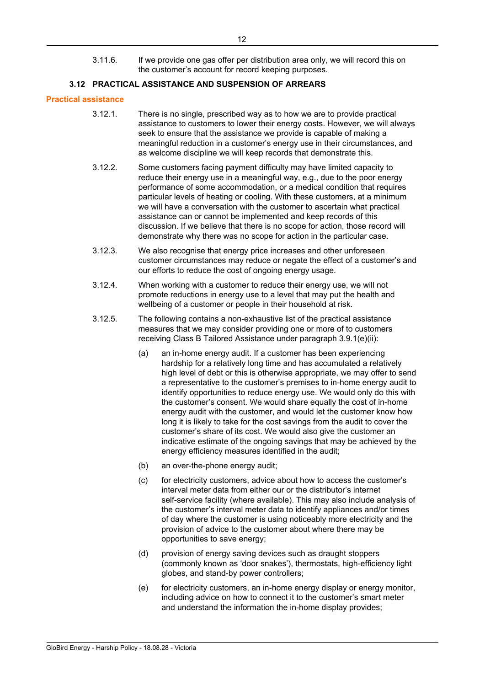3.11.6. If we provide one gas offer per distribution area only, we will record this on the customer's account for record keeping purposes.

#### **3.12 PRACTICAL ASSISTANCE AND SUSPENSION OF ARREARS**

#### **Practical assistance**

- 3.12.1. There is no single, prescribed way as to how we are to provide practical assistance to customers to lower their energy costs. However, we will always seek to ensure that the assistance we provide is capable of making a meaningful reduction in a customer's energy use in their circumstances, and as welcome discipline we will keep records that demonstrate this.
- 3.12.2. Some customers facing payment difficulty may have limited capacity to reduce their energy use in a meaningful way, e.g., due to the poor energy performance of some accommodation, or a medical condition that requires particular levels of heating or cooling. With these customers, at a minimum we will have a conversation with the customer to ascertain what practical assistance can or cannot be implemented and keep records of this discussion. If we believe that there is no scope for action, those record will demonstrate why there was no scope for action in the particular case.
- 3.12.3. We also recognise that energy price increases and other unforeseen customer circumstances may reduce or negate the effect of a customer's and our efforts to reduce the cost of ongoing energy usage.
- 3.12.4. When working with a customer to reduce their energy use, we will not promote reductions in energy use to a level that may put the health and wellbeing of a customer or people in their household at risk.
- 3.12.5. The following contains a non-exhaustive list of the practical assistance measures that we may consider providing one or more of to customers receiving Class B Tailored Assistance under paragraph 3.9.1(e)(ii):
	- (a) an in-home energy audit. If a customer has been experiencing hardship for a relatively long time and has accumulated a relatively high level of debt or this is otherwise appropriate, we may offer to send a representative to the customer's premises to in-home energy audit to identify opportunities to reduce energy use. We would only do this with the customer's consent. We would share equally the cost of in-home energy audit with the customer, and would let the customer know how long it is likely to take for the cost savings from the audit to cover the customer's share of its cost. We would also give the customer an indicative estimate of the ongoing savings that may be achieved by the energy efficiency measures identified in the audit;
	- (b) an over-the-phone energy audit;
	- (c) for electricity customers, advice about how to access the customer's interval meter data from either our or the distributor's internet self-service facility (where available). This may also include analysis of the customer's interval meter data to identify appliances and/or times of day where the customer is using noticeably more electricity and the provision of advice to the customer about where there may be opportunities to save energy;
	- (d) provision of energy saving devices such as draught stoppers (commonly known as 'door snakes'), thermostats, high-efficiency light globes, and stand-by power controllers;
	- (e) for electricity customers, an in-home energy display or energy monitor, including advice on how to connect it to the customer's smart meter and understand the information the in-home display provides;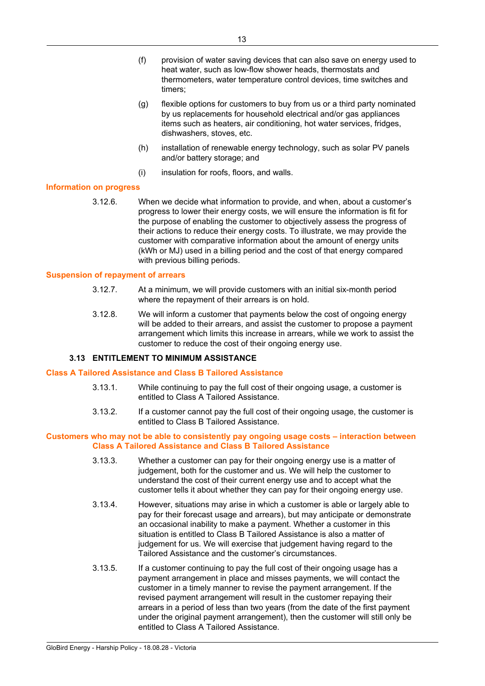- (f) provision of water saving devices that can also save on energy used to heat water, such as low-flow shower heads, thermostats and thermometers, water temperature control devices, time switches and timers;
- (g) flexible options for customers to buy from us or a third party nominated by us replacements for household electrical and/or gas appliances items such as heaters, air conditioning, hot water services, fridges, dishwashers, stoves, etc.
- (h) installation of renewable energy technology, such as solar PV panels and/or battery storage; and
- (i) insulation for roofs, floors, and walls.

### **Information on progress**

3.12.6. When we decide what information to provide, and when, about a customer's progress to lower their energy costs, we will ensure the information is fit for the purpose of enabling the customer to objectively assess the progress of their actions to reduce their energy costs. To illustrate, we may provide the customer with comparative information about the amount of energy units (kWh or MJ) used in a billing period and the cost of that energy compared with previous billing periods.

#### **Suspension of repayment of arrears**

- 3.12.7. At a minimum, we will provide customers with an initial six-month period where the repayment of their arrears is on hold.
- 3.12.8. We will inform a customer that payments below the cost of ongoing energy will be added to their arrears, and assist the customer to propose a payment arrangement which limits this increase in arrears, while we work to assist the customer to reduce the cost of their ongoing energy use.

### **3.13 ENTITLEMENT TO MINIMUM ASSISTANCE**

#### **Class A Tailored Assistance and Class B Tailored Assistance**

- 3.13.1. While continuing to pay the full cost of their ongoing usage, a customer is entitled to Class A Tailored Assistance.
- 3.13.2. If a customer cannot pay the full cost of their ongoing usage, the customer is entitled to Class B Tailored Assistance.

#### **Customers who may not be able to consistently pay ongoing usage costs – interaction between Class A Tailored Assistance and Class B Tailored Assistance**

- 3.13.3. Whether a customer can pay for their ongoing energy use is a matter of judgement, both for the customer and us. We will help the customer to understand the cost of their current energy use and to accept what the customer tells it about whether they can pay for their ongoing energy use.
- 3.13.4. However, situations may arise in which a customer is able or largely able to pay for their forecast usage and arrears), but may anticipate or demonstrate an occasional inability to make a payment. Whether a customer in this situation is entitled to Class B Tailored Assistance is also a matter of judgement for us. We will exercise that judgement having regard to the Tailored Assistance and the customer's circumstances.
- 3.13.5. If a customer continuing to pay the full cost of their ongoing usage has a payment arrangement in place and misses payments, we will contact the customer in a timely manner to revise the payment arrangement. If the revised payment arrangement will result in the customer repaying their arrears in a period of less than two years (from the date of the first payment under the original payment arrangement), then the customer will still only be entitled to Class A Tailored Assistance.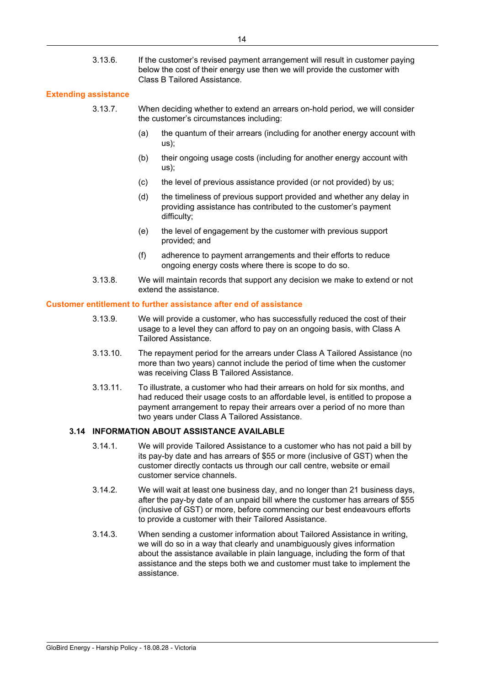3.13.6. If the customer's revised payment arrangement will result in customer paying below the cost of their energy use then we will provide the customer with Class B Tailored Assistance.

#### **Extending assistance**

- 3.13.7. When deciding whether to extend an arrears on-hold period, we will consider the customer's circumstances including:
	- (a) the quantum of their arrears (including for another energy account with us);
	- (b) their ongoing usage costs (including for another energy account with us);
	- (c) the level of previous assistance provided (or not provided) by us;
	- (d) the timeliness of previous support provided and whether any delay in providing assistance has contributed to the customer's payment difficulty;
	- (e) the level of engagement by the customer with previous support provided; and
	- (f) adherence to payment arrangements and their efforts to reduce ongoing energy costs where there is scope to do so.
- 3.13.8. We will maintain records that support any decision we make to extend or not extend the assistance.

#### **Customer entitlement to further assistance after end of assistance**

- 3.13.9. We will provide a customer, who has successfully reduced the cost of their usage to a level they can afford to pay on an ongoing basis, with Class A Tailored Assistance.
- 3.13.10. The repayment period for the arrears under Class A Tailored Assistance (no more than two years) cannot include the period of time when the customer was receiving Class B Tailored Assistance.
- 3.13.11. To illustrate, a customer who had their arrears on hold for six months, and had reduced their usage costs to an affordable level, is entitled to propose a payment arrangement to repay their arrears over a period of no more than two years under Class A Tailored Assistance.

### **3.14 INFORMATION ABOUT ASSISTANCE AVAILABLE**

- 3.14.1. We will provide Tailored Assistance to a customer who has not paid a bill by its pay-by date and has arrears of \$55 or more (inclusive of GST) when the customer directly contacts us through our call centre, website or email customer service channels.
- 3.14.2. We will wait at least one business day, and no longer than 21 business days, after the pay-by date of an unpaid bill where the customer has arrears of \$55 (inclusive of GST) or more, before commencing our best endeavours efforts to provide a customer with their Tailored Assistance.
- 3.14.3. When sending a customer information about Tailored Assistance in writing, we will do so in a way that clearly and unambiguously gives information about the assistance available in plain language, including the form of that assistance and the steps both we and customer must take to implement the assistance.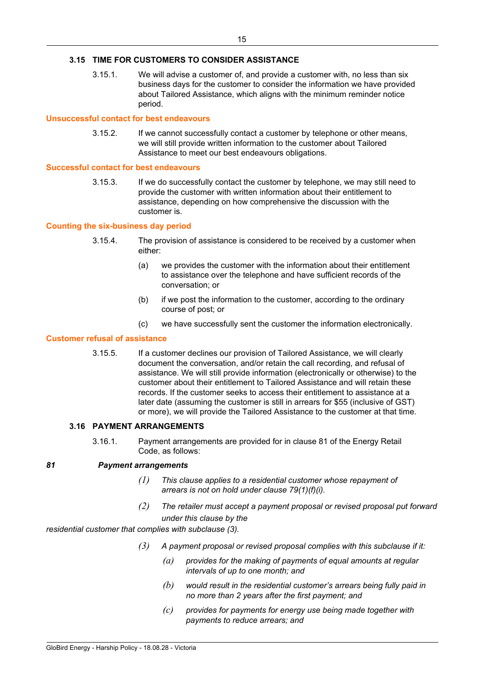### **3.15 TIME FOR CUSTOMERS TO CONSIDER ASSISTANCE**

3.15.1. We will advise a customer of, and provide a customer with, no less than six business days for the customer to consider the information we have provided about Tailored Assistance, which aligns with the minimum reminder notice period.

#### **Unsuccessful contact for best endeavours**

3.15.2. If we cannot successfully contact a customer by telephone or other means, we will still provide written information to the customer about Tailored Assistance to meet our best endeavours obligations.

#### **Successful contact for best endeavours**

3.15.3. If we do successfully contact the customer by telephone, we may still need to provide the customer with written information about their entitlement to assistance, depending on how comprehensive the discussion with the customer is.

#### **Counting the six-business day period**

- 3.15.4. The provision of assistance is considered to be received by a customer when either:
	- (a) we provides the customer with the information about their entitlement to assistance over the telephone and have sufficient records of the conversation; or
	- (b) if we post the information to the customer, according to the ordinary course of post; or
	- (c) we have successfully sent the customer the information electronically.

#### **Customer refusal of assistance**

3.15.5. If a customer declines our provision of Tailored Assistance, we will clearly document the conversation, and/or retain the call recording, and refusal of assistance. We will still provide information (electronically or otherwise) to the customer about their entitlement to Tailored Assistance and will retain these records. If the customer seeks to access their entitlement to assistance at a later date (assuming the customer is still in arrears for \$55 (inclusive of GST) or more), we will provide the Tailored Assistance to the customer at that time.

### **3.16 PAYMENT ARRANGEMENTS**

3.16.1. Payment arrangements are provided for in clause 81 of the Energy Retail Code, as follows:

#### *81 Payment arrangements*

- *(1) This clause applies to a residential customer whose repayment of arrears is not on hold under clause 79(1)(f)(i).*
- *(2) The retailer must accept a payment proposal or revised proposal put forward under this clause by the*

*residential customer that complies with subclause (3).*

- *(3) A payment proposal or revised proposal complies with this subclause if it:*
	- *(a) provides for the making of payments of equal amounts at regular intervals of up to one month; and*
	- *(b) would result in the residential customer's arrears being fully paid in no more than 2 years after the first payment; and*
	- *(c) provides for payments for energy use being made together with payments to reduce arrears; and*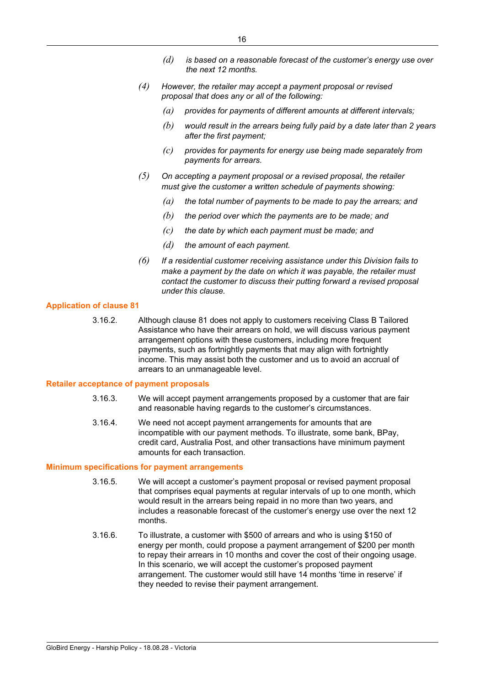- *(d) is based on a reasonable forecast of the customer's energy use over the next 12 months.*
- *(4) However, the retailer may accept a payment proposal or revised proposal that does any or all of the following:*
	- *(a) provides for payments of different amounts at different intervals;*
	- *(b) would result in the arrears being fully paid by a date later than 2 years after the first payment;*
	- *(c) provides for payments for energy use being made separately from payments for arrears.*
- *(5) On accepting a payment proposal or a revised proposal, the retailer must give the customer a written schedule of payments showing:*
	- *(a) the total number of payments to be made to pay the arrears; and*
	- *(b) the period over which the payments are to be made; and*
	- *(c) the date by which each payment must be made; and*
	- *(d) the amount of each payment.*
- *(6) If a residential customer receiving assistance under this Division fails to make a payment by the date on which it was payable, the retailer must contact the customer to discuss their putting forward a revised proposal under this clause.*

#### **Application of clause 81**

3.16.2. Although clause 81 does not apply to customers receiving Class B Tailored Assistance who have their arrears on hold, we will discuss various payment arrangement options with these customers, including more frequent payments, such as fortnightly payments that may align with fortnightly income. This may assist both the customer and us to avoid an accrual of arrears to an unmanageable level.

#### **Retailer acceptance of payment proposals**

- 3.16.3. We will accept payment arrangements proposed by a customer that are fair and reasonable having regards to the customer's circumstances.
- 3.16.4. We need not accept payment arrangements for amounts that are incompatible with our payment methods. To illustrate, some bank, BPay, credit card, Australia Post, and other transactions have minimum payment amounts for each transaction.

#### **Minimum specifications for payment arrangements**

- 3.16.5. We will accept a customer's payment proposal or revised payment proposal that comprises equal payments at regular intervals of up to one month, which would result in the arrears being repaid in no more than two years, and includes a reasonable forecast of the customer's energy use over the next 12 months.
- 3.16.6. To illustrate, a customer with \$500 of arrears and who is using \$150 of energy per month, could propose a payment arrangement of \$200 per month to repay their arrears in 10 months and cover the cost of their ongoing usage. In this scenario, we will accept the customer's proposed payment arrangement. The customer would still have 14 months 'time in reserve' if they needed to revise their payment arrangement.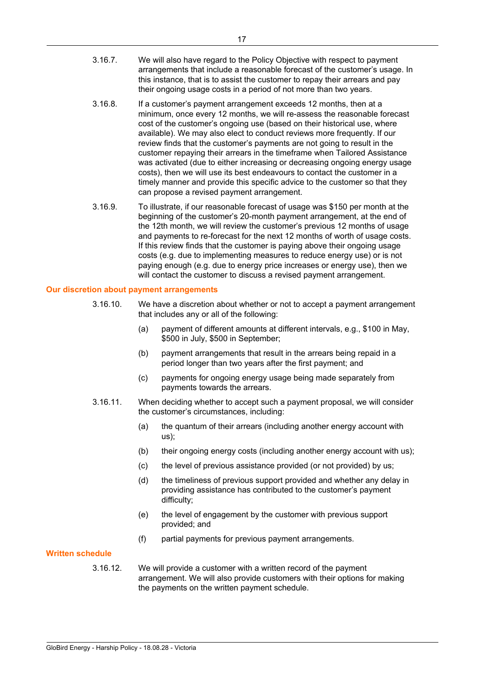- 3.16.7. We will also have regard to the Policy Objective with respect to payment arrangements that include a reasonable forecast of the customer's usage. In this instance, that is to assist the customer to repay their arrears and pay their ongoing usage costs in a period of not more than two years.
- 3.16.8. If a customer's payment arrangement exceeds 12 months, then at a minimum, once every 12 months, we will re-assess the reasonable forecast cost of the customer's ongoing use (based on their historical use, where available). We may also elect to conduct reviews more frequently. If our review finds that the customer's payments are not going to result in the customer repaying their arrears in the timeframe when Tailored Assistance was activated (due to either increasing or decreasing ongoing energy usage costs), then we will use its best endeavours to contact the customer in a timely manner and provide this specific advice to the customer so that they can propose a revised payment arrangement.
- 3.16.9. To illustrate, if our reasonable forecast of usage was \$150 per month at the beginning of the customer's 20-month payment arrangement, at the end of the 12th month, we will review the customer's previous 12 months of usage and payments to re-forecast for the next 12 months of worth of usage costs. If this review finds that the customer is paying above their ongoing usage costs (e.g. due to implementing measures to reduce energy use) or is not paying enough (e.g. due to energy price increases or energy use), then we will contact the customer to discuss a revised payment arrangement.

#### **Our discretion about payment arrangements**

- 3.16.10. We have a discretion about whether or not to accept a payment arrangement that includes any or all of the following:
	- (a) payment of different amounts at different intervals, e.g., \$100 in May, \$500 in July, \$500 in September;
	- (b) payment arrangements that result in the arrears being repaid in a period longer than two years after the first payment; and
	- (c) payments for ongoing energy usage being made separately from payments towards the arrears.
- 3.16.11. When deciding whether to accept such a payment proposal, we will consider the customer's circumstances, including:
	- (a) the quantum of their arrears (including another energy account with us);
	- (b) their ongoing energy costs (including another energy account with us);
	- (c) the level of previous assistance provided (or not provided) by us;
	- (d) the timeliness of previous support provided and whether any delay in providing assistance has contributed to the customer's payment difficulty;
	- (e) the level of engagement by the customer with previous support provided; and
	- (f) partial payments for previous payment arrangements.

#### **Written schedule**

3.16.12. We will provide a customer with a written record of the payment arrangement. We will also provide customers with their options for making the payments on the written payment schedule.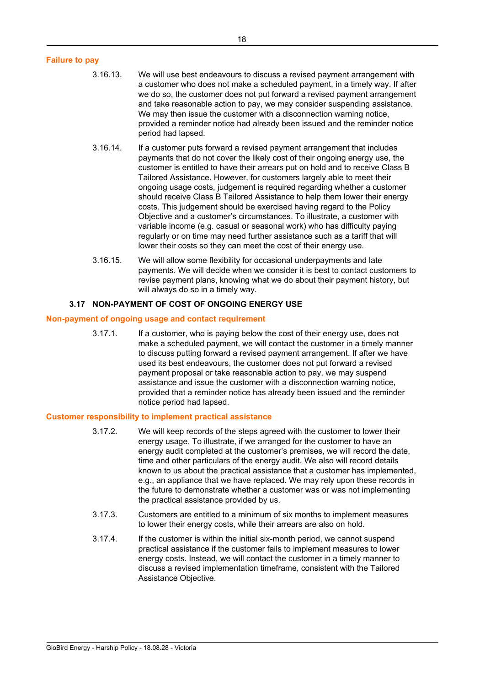### 3.16.13. We will use best endeavours to discuss a revised payment arrangement with a customer who does not make a scheduled payment, in a timely way. If after we do so, the customer does not put forward a revised payment arrangement and take reasonable action to pay, we may consider suspending assistance. We may then issue the customer with a disconnection warning notice, provided a reminder notice had already been issued and the reminder notice period had lapsed. 3.16.14. If a customer puts forward a revised payment arrangement that includes payments that do not cover the likely cost of their ongoing energy use, the customer is entitled to have their arrears put on hold and to receive Class B Tailored Assistance. However, for customers largely able to meet their ongoing usage costs, judgement is required regarding whether a customer should receive Class B Tailored Assistance to help them lower their energy costs. This judgement should be exercised having regard to the Policy Objective and a customer's circumstances. To illustrate, a customer with variable income (e.g. casual or seasonal work) who has difficulty paying regularly or on time may need further assistance such as a tariff that will lower their costs so they can meet the cost of their energy use.

3.16.15. We will allow some flexibility for occasional underpayments and late payments. We will decide when we consider it is best to contact customers to revise payment plans, knowing what we do about their payment history, but will always do so in a timely way.

# **3.17 NON-PAYMENT OF COST OF ONGOING ENERGY USE**

## **Non-payment of ongoing usage and contact requirement**

**Failure to pay**

3.17.1. If a customer, who is paying below the cost of their energy use, does not make a scheduled payment, we will contact the customer in a timely manner to discuss putting forward a revised payment arrangement. If after we have used its best endeavours, the customer does not put forward a revised payment proposal or take reasonable action to pay, we may suspend assistance and issue the customer with a disconnection warning notice, provided that a reminder notice has already been issued and the reminder notice period had lapsed.

# **Customer responsibility to implement practical assistance**

- 3.17.2. We will keep records of the steps agreed with the customer to lower their energy usage. To illustrate, if we arranged for the customer to have an energy audit completed at the customer's premises, we will record the date, time and other particulars of the energy audit. We also will record details known to us about the practical assistance that a customer has implemented, e.g., an appliance that we have replaced. We may rely upon these records in the future to demonstrate whether a customer was or was not implementing the practical assistance provided by us.
- 3.17.3. Customers are entitled to a minimum of six months to implement measures to lower their energy costs, while their arrears are also on hold.
- 3.17.4. If the customer is within the initial six-month period, we cannot suspend practical assistance if the customer fails to implement measures to lower energy costs. Instead, we will contact the customer in a timely manner to discuss a revised implementation timeframe, consistent with the Tailored Assistance Objective.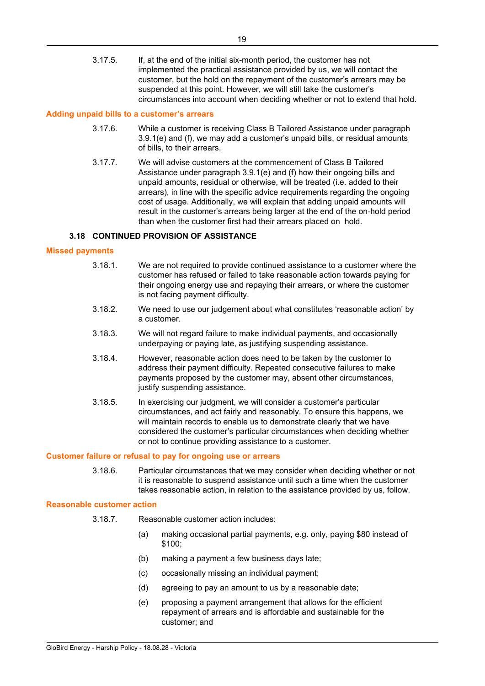3.17.5. If, at the end of the initial six-month period, the customer has not implemented the practical assistance provided by us, we will contact the customer, but the hold on the repayment of the customer's arrears may be suspended at this point. However, we will still take the customer's circumstances into account when deciding whether or not to extend that hold.

#### **Adding unpaid bills to a customer's arrears**

- 3.17.6. While a customer is receiving Class B Tailored Assistance under paragraph 3.9.1(e) and (f), we may add a customer's unpaid bills, or residual amounts of bills, to their arrears.
- 3.17.7. We will advise customers at the commencement of Class B Tailored Assistance under paragraph 3.9.1(e) and (f) how their ongoing bills and unpaid amounts, residual or otherwise, will be treated (i.e. added to their arrears), in line with the specific advice requirements regarding the ongoing cost of usage. Additionally, we will explain that adding unpaid amounts will result in the customer's arrears being larger at the end of the on-hold period than when the customer first had their arrears placed on hold.

#### **3.18 CONTINUED PROVISION OF ASSISTANCE**

#### **Missed payments**

- 3.18.1. We are not required to provide continued assistance to a customer where the customer has refused or failed to take reasonable action towards paying for their ongoing energy use and repaying their arrears, or where the customer is not facing payment difficulty.
- 3.18.2. We need to use our judgement about what constitutes 'reasonable action' by a customer.
- 3.18.3. We will not regard failure to make individual payments, and occasionally underpaying or paying late, as justifying suspending assistance.
- 3.18.4. However, reasonable action does need to be taken by the customer to address their payment difficulty. Repeated consecutive failures to make payments proposed by the customer may, absent other circumstances, justify suspending assistance.
- 3.18.5. In exercising our judgment, we will consider a customer's particular circumstances, and act fairly and reasonably. To ensure this happens, we will maintain records to enable us to demonstrate clearly that we have considered the customer's particular circumstances when deciding whether or not to continue providing assistance to a customer.

#### **Customer failure or refusal to pay for ongoing use or arrears**

3.18.6. Particular circumstances that we may consider when deciding whether or not it is reasonable to suspend assistance until such a time when the customer takes reasonable action, in relation to the assistance provided by us, follow.

#### **Reasonable customer action**

- 3.18.7. Reasonable customer action includes:
	- (a) making occasional partial payments, e.g. only, paying \$80 instead of \$100;
	- (b) making a payment a few business days late;
	- (c) occasionally missing an individual payment;
	- (d) agreeing to pay an amount to us by a reasonable date;
	- (e) proposing a payment arrangement that allows for the efficient repayment of arrears and is affordable and sustainable for the customer; and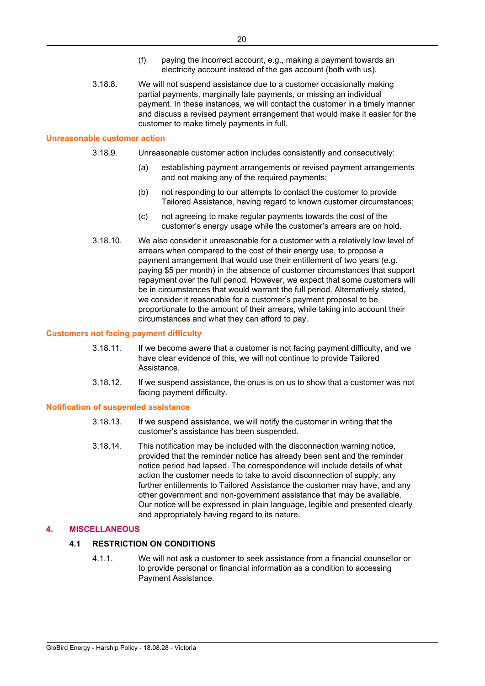- (f) paying the incorrect account, e.g., making a payment towards an electricity account instead of the gas account (both with us).
- 3.18.8. We will not suspend assistance due to a customer occasionally making partial payments, marginally late payments, or missing an individual payment. In these instances, we will contact the customer in a timely manner and discuss a revised payment arrangement that would make it easier for the customer to make timely payments in full.

#### **Unreasonable customer action**

- 3.18.9. Unreasonable customer action includes consistently and consecutively:
	- (a) establishing payment arrangements or revised payment arrangements and not making any of the required payments;
	- (b) not responding to our attempts to contact the customer to provide Tailored Assistance, having regard to known customer circumstances;
	- (c) not agreeing to make regular payments towards the cost of the customer's energy usage while the customer's arrears are on hold.
- 3.18.10. We also consider it unreasonable for a customer with a relatively low level of arrears when compared to the cost of their energy use, to propose a payment arrangement that would use their entitlement of two years (e.g. paying \$5 per month) in the absence of customer circumstances that support repayment over the full period. However, we expect that some customers will be in circumstances that would warrant the full period. Alternatively stated, we consider it reasonable for a customer's payment proposal to be proportionate to the amount of their arrears, while taking into account their circumstances and what they can afford to pay.

#### **Customers not facing payment difficulty**

- 3.18.11. If we become aware that a customer is not facing payment difficulty, and we have clear evidence of this, we will not continue to provide Tailored Assistance.
- 3.18.12. If we suspend assistance, the onus is on us to show that a customer was not facing payment difficulty.

#### **Notification of suspended assistance**

- 3.18.13. If we suspend assistance, we will notify the customer in writing that the customer's assistance has been suspended.
- 3.18.14. This notification may be included with the disconnection warning notice, provided that the reminder notice has already been sent and the reminder notice period had lapsed. The correspondence will include details of what action the customer needs to take to avoid disconnection of supply, any further entitlements to Tailored Assistance the customer may have, and any other government and non-government assistance that may be available. Our notice will be expressed in plain language, legible and presented clearly and appropriately having regard to its nature.

### **4. MISCELLANEOUS**

#### **4.1 RESTRICTION ON CONDITIONS**

4.1.1. We will not ask a customer to seek assistance from a financial counsellor or to provide personal or financial information as a condition to accessing Payment Assistance.